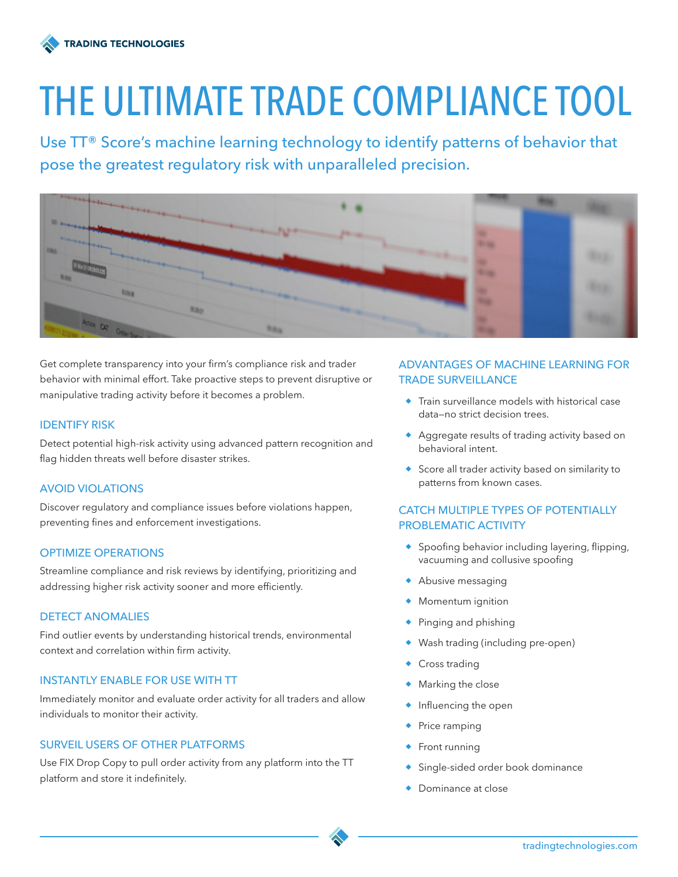

# THE ULTIMATE TRADE COMPLIANCE TOOL

Use TT® Score's machine learning technology to identify patterns of behavior that pose the greatest regulatory risk with unparalleled precision.



Get complete transparency into your firm's compliance risk and trader behavior with minimal effort. Take proactive steps to prevent disruptive or manipulative trading activity before it becomes a problem.

#### IDENTIFY RISK

Detect potential high-risk activity using advanced pattern recognition and flag hidden threats well before disaster strikes.

## AVOID VIOLATIONS

Discover regulatory and compliance issues before violations happen, preventing fines and enforcement investigations.

## OPTIMIZE OPERATIONS

Streamline compliance and risk reviews by identifying, prioritizing and addressing higher risk activity sooner and more efficiently.

## DETECT ANOMALIES

Find outlier events by understanding historical trends, environmental context and correlation within firm activity.

## INSTANTLY ENABLE FOR USE WITH TT

Immediately monitor and evaluate order activity for all traders and allow individuals to monitor their activity.

# SURVEIL USERS OF OTHER PLATFORMS

Use FIX Drop Copy to pull order activity from any platform into the TT platform and store it indefinitely.

# ADVANTAGES OF MACHINE LEARNING FOR TRADE SURVEILLANCE

- Train surveillance models with historical case data—no strict decision trees.
- ◆ Aggregate results of trading activity based on behavioral intent.
- ◆ Score all trader activity based on similarity to patterns from known cases.

# CATCH MULTIPLE TYPES OF POTENTIALLY PROBLEMATIC ACTIVITY

- Spoofing behavior including layering, flipping, vacuuming and collusive spoofing
- Abusive messaging
- **Momentum ignition**
- Pinging and phishing
- Wash trading (including pre-open)
- ◆ Cross trading
- Marking the close
- Influencing the open
- Price ramping
- Front running
- Single-sided order book dominance
- Dominance at close